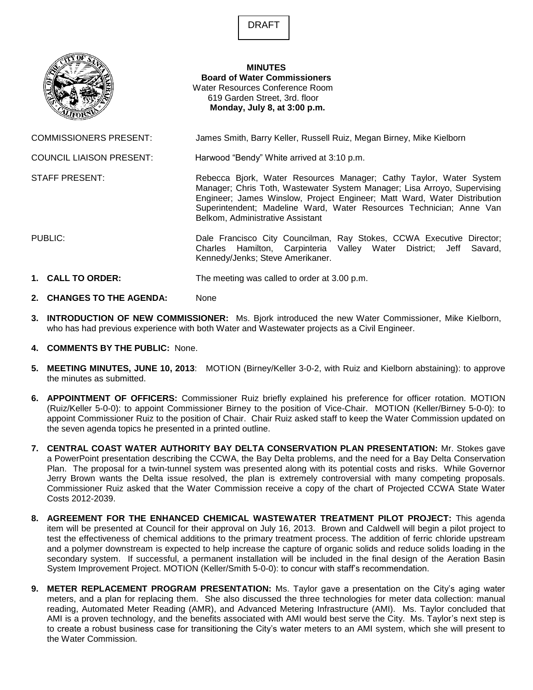DRAFT



**MINUTES Board of Water Commissioners** Water Resources Conference Room 619 Garden Street, 3rd. floor **Monday, July 8, at 3:00 p.m.**

COMMISSIONERS PRESENT: James Smith, Barry Keller, Russell Ruiz, Megan Birney, Mike Kielborn

COUNCIL LIAISON PRESENT: Harwood "Bendy" White arrived at 3:10 p.m.

STAFF PRESENT: **Rebecca Bjork, Water Resources Manager**; Cathy Taylor, Water System

Manager; Chris Toth, Wastewater System Manager; Lisa Arroyo, Supervising Engineer; James Winslow, Project Engineer; Matt Ward, Water Distribution Superintendent; Madeline Ward, Water Resources Technician; Anne Van Belkom, Administrative Assistant

PUBLIC: Dale Francisco City Councilman, Ray Stokes, CCWA Executive Director; Charles Hamilton, Carpinteria Valley Water District; Jeff Savard, Kennedy/Jenks; Steve Amerikaner.

- **1. CALL TO ORDER:** The meeting was called to order at 3.00 p.m.
- **2. CHANGES TO THE AGENDA:** None
- **3. INTRODUCTION OF NEW COMMISSIONER:** Ms. Bjork introduced the new Water Commissioner, Mike Kielborn, who has had previous experience with both Water and Wastewater projects as a Civil Engineer.
- **4. COMMENTS BY THE PUBLIC:** None.
- **5. MEETING MINUTES, JUNE 10, 2013**: MOTION (Birney/Keller 3-0-2, with Ruiz and Kielborn abstaining): to approve the minutes as submitted.
- **6. APPOINTMENT OF OFFICERS:** Commissioner Ruiz briefly explained his preference for officer rotation. MOTION (Ruiz/Keller 5-0-0): to appoint Commissioner Birney to the position of Vice-Chair. MOTION (Keller/Birney 5-0-0): to appoint Commissioner Ruiz to the position of Chair. Chair Ruiz asked staff to keep the Water Commission updated on the seven agenda topics he presented in a printed outline.
- **7. CENTRAL COAST WATER AUTHORITY BAY DELTA CONSERVATION PLAN PRESENTATION:** Mr. Stokes gave a PowerPoint presentation describing the CCWA, the Bay Delta problems, and the need for a Bay Delta Conservation Plan. The proposal for a twin-tunnel system was presented along with its potential costs and risks. While Governor Jerry Brown wants the Delta issue resolved, the plan is extremely controversial with many competing proposals. Commissioner Ruiz asked that the Water Commission receive a copy of the chart of Projected CCWA State Water Costs 2012-2039.
- **8. AGREEMENT FOR THE ENHANCED CHEMICAL WASTEWATER TREATMENT PILOT PROJECT:** This agenda item will be presented at Council for their approval on July 16, 2013. Brown and Caldwell will begin a pilot project to test the effectiveness of chemical additions to the primary treatment process. The addition of ferric chloride upstream and a polymer downstream is expected to help increase the capture of organic solids and reduce solids loading in the secondary system. If successful, a permanent installation will be included in the final design of the Aeration Basin System Improvement Project. MOTION (Keller/Smith 5-0-0): to concur with staff's recommendation.
- **9. METER REPLACEMENT PROGRAM PRESENTATION:** Ms. Taylor gave a presentation on the City's aging water meters, and a plan for replacing them. She also discussed the three technologies for meter data collection: manual reading, Automated Meter Reading (AMR), and Advanced Metering Infrastructure (AMI). Ms. Taylor concluded that AMI is a proven technology, and the benefits associated with AMI would best serve the City. Ms. Taylor's next step is to create a robust business case for transitioning the City's water meters to an AMI system, which she will present to the Water Commission.